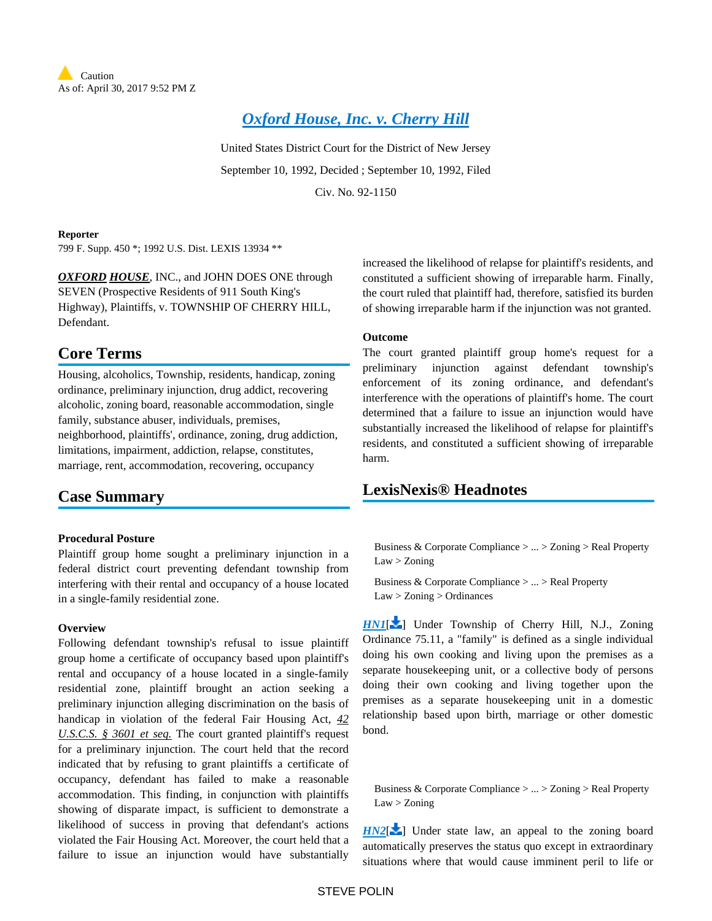

# *[Oxford House, Inc. v. Cherry Hill](https://advance.lexis.com/api/document?collection=cases&id=urn:contentItem:3S4N-GPD0-008H-F367-00000-00&context=)*

United States District Court for the District of New Jersey September 10, 1992, Decided ; September 10, 1992, Filed Civ. No. 92-1150

#### **Reporter**

799 F. Supp. 450 \*; 1992 U.S. Dist. LEXIS 13934 \*\*

**OXFORD HOUSE**, INC., and JOHN DOES ONE through SEVEN (Prospective Residents of 911 South King's Highway), Plaintiffs, v. TOWNSHIP OF CHERRY HILL, Defendant.

# **Core Terms**

Housing, alcoholics, Township, residents, handicap, zoning ordinance, preliminary injunction, drug addict, recovering alcoholic, zoning board, reasonable accommodation, single family, substance abuser, individuals, premises, neighborhood, plaintiffs', ordinance, zoning, drug addiction, limitations, impairment, addiction, relapse, constitutes, marriage, rent, accommodation, recovering, occupancy

## **Case Summary**

## **Procedural Posture**

Plaintiff group home sought a preliminary injunction in a federal district court preventing defendant township from interfering with their rental and occupancy of a house located in a single-family residential zone.

#### **Overview**

Following defendant township's refusal to issue plaintiff group home a certificate of occupancy based upon plaintiff's rental and occupancy of a house located in a single-family residential zone, plaintiff brought an action seeking a preliminary injunction alleging discrimination on the basis of handicap in violation of the federal Fair Housing Act, *42 U.S.C.S. § 3601 et seq.* The court granted plaintiff's request for a preliminary injunction. The court held that the record indicated that by refusing to grant plaintiffs a certificate of occupancy, defendant has failed to make a reasonable accommodation. This finding, in conjunction with plaintiffs showing of disparate impact, is sufficient to demonstrate a likelihood of success in proving that defendant's actions violated the Fair Housing Act. Moreover, the court held that a failure to issue an injunction would have substantially

increased the likelihood of relapse for plaintiff's residents, and constituted a sufficient showing of irreparable harm. Finally, the court ruled that plaintiff had, therefore, satisfied its burden of showing irreparable harm if the injunction was not granted.

## **Outcome**

The court granted plaintiff group home's request for a preliminary injunction against defendant township's enforcement of its zoning ordinance, and defendant's interference with the operations of plaintiff's home. The court determined that a failure to issue an injunction would have substantially increased the likelihood of relapse for plaintiff's residents, and constituted a sufficient showing of irreparable harm.

## <span id="page-0-0"></span>**LexisNexis® Headnotes**

Business & Corporate Compliance > ... > Zoning > Real Property Law > Zoning

Business & Corporate Compliance > ... > Real Property Law > Zoning > Ordinances

*[HN1](https://advance.lexis.com/api/document?collection=cases&id=urn:contentItem:3S4N-GPD0-008H-F367-00000-00&context=&link=LNHNREFclscc1)*[\[](#page-5-0) ] Under Township of Cherry Hill, N.J., Zoning Ordinance 75.11, a "family" is defined as a single individual doing his own cooking and living upon the premises as a separate housekeeping unit, or a collective body of persons doing their own cooking and living together upon the premises as a separate housekeeping unit in a domestic relationship based upon birth, marriage or other domestic bond.

<span id="page-0-1"></span>Business & Corporate Compliance > ... > Zoning > Real Property Law > Zoning

 $H N2$ [\[](#page-5-1) $\blacktriangleright$ ] Under state law, an appeal to the zoning board automatically preserves the status quo except in extraordinary situations where that would cause imminent peril to life or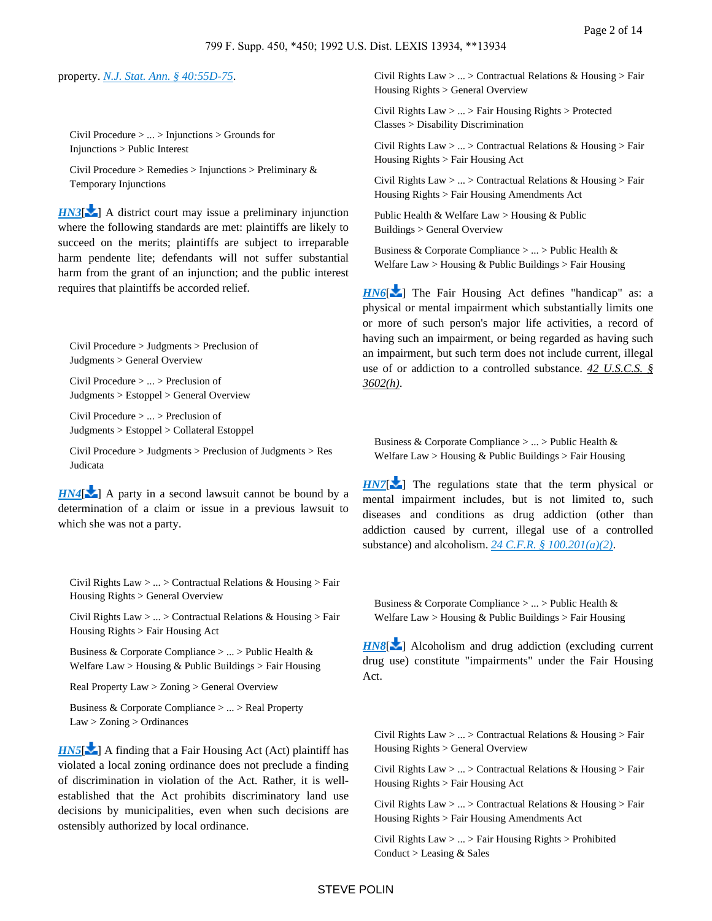#### <span id="page-1-0"></span>property. *[N.J. Stat. Ann. § 40:55D-75](https://advance.lexis.com/api/document?collection=statutes-legislation&id=urn:contentItem:5F0Y-C771-6F13-044N-00000-00&context=)*.

Civil Procedure > ... > Injunctions > Grounds for Injunctions > Public Interest

Civil Procedure > Remedies > Injunctions > Preliminary & Temporary Injunctions

**[HN3](https://advance.lexis.com/api/document?collection=cases&id=urn:contentItem:3S4N-GPD0-008H-F367-00000-00&context=&link=LNHNREFclscc3)[\[](#page-7-0)** ] A district court may issue a preliminary injunction where the following standards are met: plaintiffs are likely to succeed on the merits; plaintiffs are subject to irreparable harm pendente lite; defendants will not suffer substantial harm from the grant of an injunction; and the public interest requires that plaintiffs be accorded relief.

Civil Procedure > Judgments > Preclusion of Judgments > General Overview

Civil Procedure > ... > Preclusion of Judgments > Estoppel > General Overview

Civil Procedure > ... > Preclusion of Judgments > Estoppel > Collateral Estoppel

Civil Procedure > Judgments > Preclusion of Judgments > Res Judicata

 $HN4$ [\[](#page-7-1) $\blacktriangle$ ] A party in a second lawsuit cannot be bound by a determination of a claim or issue in a previous lawsuit to which she was not a party.

Civil Rights Law > ... > Contractual Relations & Housing > Fair Housing Rights > General Overview

Civil Rights Law > ... > Contractual Relations & Housing > Fair Housing Rights > Fair Housing Act

Business & Corporate Compliance > ... > Public Health & Welfare Law > Housing & Public Buildings > Fair Housing

Real Property Law > Zoning > General Overview

Business & Corporate Compliance > ... > Real Property Law > Zoning > Ordinances

<span id="page-1-1"></span>*[HN5](https://advance.lexis.com/api/document?collection=cases&id=urn:contentItem:3S4N-GPD0-008H-F367-00000-00&context=&link=LNHNREFclscc5)*[\[](#page-7-2) $\blacktriangleright$ ] A finding that a Fair Housing Act (Act) plaintiff has violated a local zoning ordinance does not preclude a finding of discrimination in violation of the Act. Rather, it is wellestablished that the Act prohibits discriminatory land use decisions by municipalities, even when such decisions are ostensibly authorized by local ordinance.

Civil Rights Law > ... > Contractual Relations & Housing > Fair Housing Rights > General Overview

Civil Rights Law > ... > Fair Housing Rights > Protected Classes > Disability Discrimination

Civil Rights Law > ... > Contractual Relations & Housing > Fair Housing Rights > Fair Housing Act

Civil Rights Law  $> ... >$  Contractual Relations & Housing  $>$  Fair Housing Rights > Fair Housing Amendments Act

Public Health & Welfare Law > Housing & Public Buildings > General Overview

Business & Corporate Compliance > ... > Public Health & Welfare  $Law > H \omega$  and  $\&$  Public Buildings  $>$  Fair Housing

*[HN6](https://advance.lexis.com/api/document?collection=cases&id=urn:contentItem:3S4N-GPD0-008H-F367-00000-00&context=&link=LNHNREFclscc6)*[\[](#page-8-0) $\blacktriangleright$ ] The Fair Housing Act defines "handicap" as: a physical or mental impairment which substantially limits one or more of such person's major life activities, a record of having such an impairment, or being regarded as having such an impairment, but such term does not include current, illegal use of or addiction to a controlled substance. *42 U.S.C.S. § 3602(h)*.

Business & Corporate Compliance > ... > Public Health & Welfare  $Law > H$ ousing & Public Buildings  $>$  Fair Housing

 $H<sub>N7</sub>[$  $H<sub>N7</sub>[$  The regulations state that the term physical or mental impairment includes, but is not limited to, such diseases and conditions as drug addiction (other than addiction caused by current, illegal use of a controlled substance) and alcoholism. *[24 C.F.R. § 100.201\(a\)\(2\)](https://advance.lexis.com/api/document?collection=administrative-codes&id=urn:contentItem:5MD7-1KX0-008G-Y3M4-00000-00&context=)*.

<span id="page-1-2"></span>Business & Corporate Compliance > ... > Public Health & Welfare  $Law > H$ ousing & Public Buildings  $>$  Fair Housing

<span id="page-1-3"></span>**[HN8](https://advance.lexis.com/api/document?collection=cases&id=urn:contentItem:3S4N-GPD0-008H-F367-00000-00&context=&link=LNHNREFclscc8)[\[](#page-8-2)** ] Alcoholism and drug addiction (excluding current drug use) constitute "impairments" under the Fair Housing Act.

Civil Rights Law  $> ... >$  Contractual Relations & Housing  $>$  Fair Housing Rights > General Overview

Civil Rights Law  $> ... >$  Contractual Relations & Housing  $>$  Fair Housing Rights > Fair Housing Act

Civil Rights Law  $> ... >$  Contractual Relations & Housing  $>$  Fair Housing Rights > Fair Housing Amendments Act

Civil Rights Law > ... > Fair Housing Rights > Prohibited Conduct  $>$  Leasing & Sales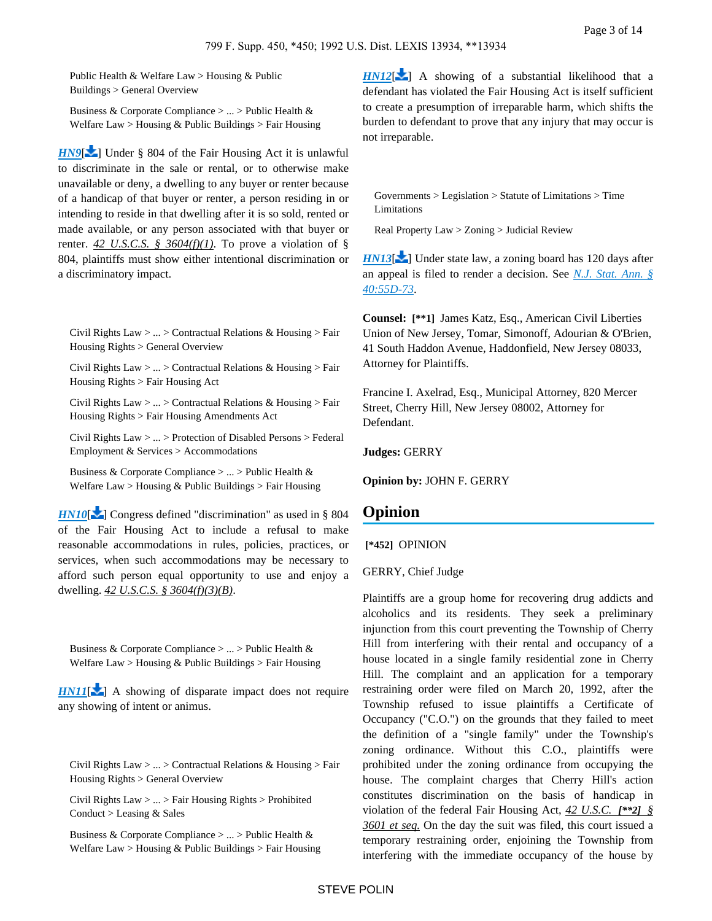Public Health & Welfare Law > Housing & Public Buildings > General Overview

Business & Corporate Compliance > ... > Public Health & Welfare Law > Housing & Public Buildings > Fair Housing

*[HN9](https://advance.lexis.com/api/document?collection=cases&id=urn:contentItem:3S4N-GPD0-008H-F367-00000-00&context=&link=LNHNREFclscc9)*[\[](#page-9-0) $\blacktriangleright$ ] Under § 804 of the Fair Housing Act it is unlawful to discriminate in the sale or rental, or to otherwise make unavailable or deny, a dwelling to any buyer or renter because of a handicap of that buyer or renter, a person residing in or intending to reside in that dwelling after it is so sold, rented or made available, or any person associated with that buyer or renter.  $42 \text{ U.S. C.S. }$   $\frac{6}{9}$   $\frac{3604(f)(1)}{10}$ . To prove a violation of § 804, plaintiffs must show either intentional discrimination or a discriminatory impact.

<span id="page-2-0"></span>Civil Rights Law > ... > Contractual Relations & Housing > Fair Housing Rights > General Overview

Civil Rights Law > ... > Contractual Relations & Housing > Fair Housing Rights > Fair Housing Act

Civil Rights Law > ... > Contractual Relations & Housing > Fair Housing Rights > Fair Housing Amendments Act

Civil Rights Law > ... > Protection of Disabled Persons > Federal Employment & Services > Accommodations

Business & Corporate Compliance > ... > Public Health & Welfare Law > Housing & Public Buildings > Fair Housing

*[HN10](https://advance.lexis.com/api/document?collection=cases&id=urn:contentItem:3S4N-GPD0-008H-F367-00000-00&context=&link=LNHNREFclscc10)*[\[](#page-10-0) $\blacktriangleright$ ] Congress defined "discrimination" as used in § 804 of the Fair Housing Act to include a refusal to make reasonable accommodations in rules, policies, practices, or services, when such accommodations may be necessary to afford such person equal opportunity to use and enjoy a dwelling. *42 U.S.C.S. § 3604(f)(3)(B)*.

<span id="page-2-1"></span>Business & Corporate Compliance > ... > Public Health & Welfare Law > Housing & Public Buildings > Fair Housing

<span id="page-2-2"></span>*[HN11](https://advance.lexis.com/api/document?collection=cases&id=urn:contentItem:3S4N-GPD0-008H-F367-00000-00&context=&link=LNHNREFclscc11)*[\[](#page-10-1) $\blacktriangleright$ ] A showing of disparate impact does not require any showing of intent or animus.

Civil Rights Law > ... > Contractual Relations & Housing > Fair Housing Rights > General Overview

Civil Rights Law > ... > Fair Housing Rights > Prohibited Conduct > Leasing & Sales

Business & Corporate Compliance > ... > Public Health & Welfare Law > Housing & Public Buildings > Fair Housing  $HNI2[\lambda]$  $HNI2[\lambda]$  $HNI2[\lambda]$  A showing of a substantial likelihood that a defendant has violated the Fair Housing Act is itself sufficient to create a presumption of irreparable harm, which shifts the burden to defendant to prove that any injury that may occur is not irreparable.

Governments > Legislation > Statute of Limitations > Time Limitations

Real Property Law > Zoning > Judicial Review

*[HN13](https://advance.lexis.com/api/document?collection=cases&id=urn:contentItem:3S4N-GPD0-008H-F367-00000-00&context=&link=LNHNREFclscc13)*<sup>2</sup> ] Under state law, a zoning board has 120 days after an appeal is filed to render a decision. See *[N.J. Stat. Ann. §](https://advance.lexis.com/api/document?collection=statutes-legislation&id=urn:contentItem:5F0Y-C771-6F13-044J-00000-00&context=)  [40:55D-73](https://advance.lexis.com/api/document?collection=statutes-legislation&id=urn:contentItem:5F0Y-C771-6F13-044J-00000-00&context=)*.

**Counsel: [\*\*1]** James Katz, Esq., American Civil Liberties Union of New Jersey, Tomar, Simonoff, Adourian & O'Brien, 41 South Haddon Avenue, Haddonfield, New Jersey 08033, Attorney for Plaintiffs.

Francine I. Axelrad, Esq., Municipal Attorney, 820 Mercer Street, Cherry Hill, New Jersey 08002, Attorney for Defendant.

**Judges:** GERRY

**Opinion by:** JOHN F. GERRY

## **Opinion**

 **[\*452]** OPINION

GERRY, Chief Judge

Plaintiffs are a group home for recovering drug addicts and alcoholics and its residents. They seek a preliminary injunction from this court preventing the Township of Cherry Hill from interfering with their rental and occupancy of a house located in a single family residential zone in Cherry Hill. The complaint and an application for a temporary restraining order were filed on March 20, 1992, after the Township refused to issue plaintiffs a Certificate of Occupancy ("C.O.") on the grounds that they failed to meet the definition of a "single family" under the Township's zoning ordinance. Without this C.O., plaintiffs were prohibited under the zoning ordinance from occupying the house. The complaint charges that Cherry Hill's action constitutes discrimination on the basis of handicap in violation of the federal Fair Housing Act, *42 U.S.C. [\*\*2] § 3601 et seq.* On the day the suit was filed, this court issued a temporary restraining order, enjoining the Township from interfering with the immediate occupancy of the house by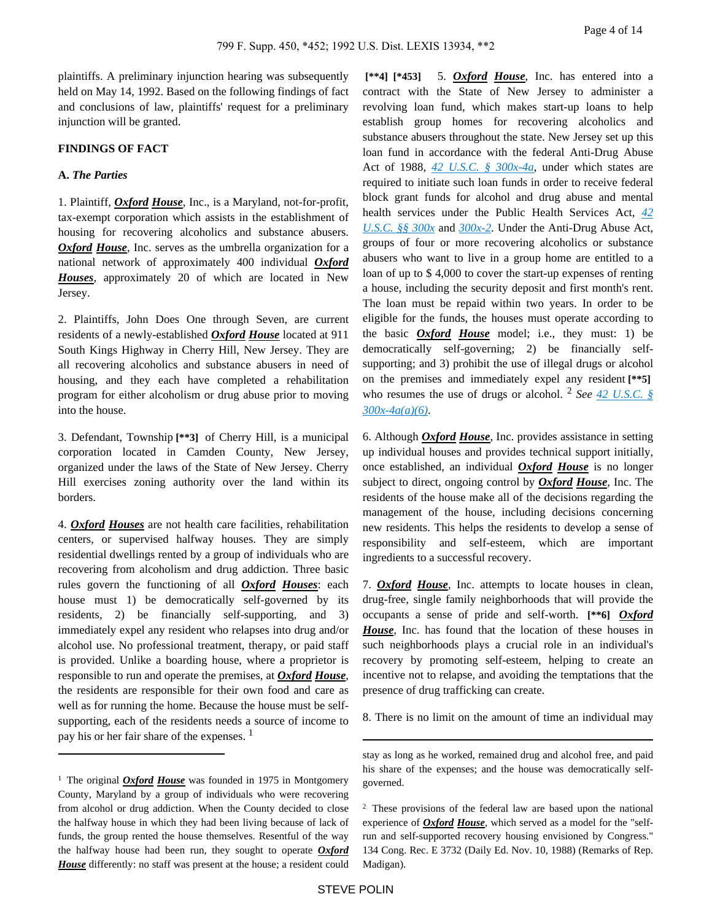plaintiffs. A preliminary injunction hearing was subsequently held on May 14, 1992. Based on the following findings of fact and conclusions of law, plaintiffs' request for a preliminary injunction will be granted.

### **FINDINGS OF FACT**

#### **A.** *The Parties*

1. Plaintiff, *Oxford House*, Inc., is a Maryland, not-for-profit, tax-exempt corporation which assists in the establishment of housing for recovering alcoholics and substance abusers. *Oxford House*, Inc. serves as the umbrella organization for a national network of approximately 400 individual *Oxford Houses*, approximately 20 of which are located in New Jersey.

2. Plaintiffs, John Does One through Seven, are current residents of a newly-established *Oxford House* located at 911 South Kings Highway in Cherry Hill, New Jersey. They are all recovering alcoholics and substance abusers in need of housing, and they each have completed a rehabilitation program for either alcoholism or drug abuse prior to moving into the house.

3. Defendant, Township **[\*\*3]** of Cherry Hill, is a municipal corporation located in Camden County, New Jersey, organized under the laws of the State of New Jersey. Cherry Hill exercises zoning authority over the land within its borders.

4. *Oxford Houses* are not health care facilities, rehabilitation centers, or supervised halfway houses. They are simply residential dwellings rented by a group of individuals who are recovering from alcoholism and drug addiction. Three basic rules govern the functioning of all *Oxford Houses*: each house must 1) be democratically self-governed by its residents, 2) be financially self-supporting, and 3) immediately expel any resident who relapses into drug and/or alcohol use. No professional treatment, therapy, or paid staff is provided. Unlike a boarding house, where a proprietor is responsible to run and operate the premises, at *Oxford House*, the residents are responsible for their own food and care as well as for running the home. Because the house must be selfsupporting, each of the residents needs a source of income to pay his or her fair share of the expenses. <sup>1</sup>

 **[\*\*4] [\*453]** 5. *Oxford House*, Inc. has entered into a contract with the State of New Jersey to administer a revolving loan fund, which makes start-up loans to help establish group homes for recovering alcoholics and substance abusers throughout the state. New Jersey set up this loan fund in accordance with the federal Anti-Drug Abuse Act of 1988, *[42 U.S.C. § 300x-4a](https://advance.lexis.com/api/document?collection=statutes-legislation&id=urn:contentItem:4YF7-GNM1-NRF4-408V-00000-00&context=)*, under which states are required to initiate such loan funds in order to receive federal block grant funds for alcohol and drug abuse and mental health services under the Public Health Services Act, *[42](https://advance.lexis.com/api/document?collection=statutes-legislation&id=urn:contentItem:4YF7-GRH1-NRF4-43VP-00000-00&context=)  [U.S.C. §§ 300x](https://advance.lexis.com/api/document?collection=statutes-legislation&id=urn:contentItem:4YF7-GRH1-NRF4-43VP-00000-00&context=)* and *[300x-2](https://advance.lexis.com/api/document?collection=statutes-legislation&id=urn:contentItem:4YF7-GR91-NRF4-41FW-00000-00&context=)*. Under the Anti-Drug Abuse Act, groups of four or more recovering alcoholics or substance abusers who want to live in a group home are entitled to a loan of up to \$ 4,000 to cover the start-up expenses of renting a house, including the security deposit and first month's rent. The loan must be repaid within two years. In order to be eligible for the funds, the houses must operate according to the basic *Oxford House* model; i.e., they must: 1) be democratically self-governing; 2) be financially selfsupporting; and 3) prohibit the use of illegal drugs or alcohol on the premises and immediately expel any resident **[\*\*5]**  who resumes the use of drugs or alcohol. <sup>2</sup> *See [42 U.S.C. §](https://advance.lexis.com/api/document?collection=statutes-legislation&id=urn:contentItem:4YF7-GNM1-NRF4-408V-00000-00&context=)  [300x-4a\(a\)\(6\)](https://advance.lexis.com/api/document?collection=statutes-legislation&id=urn:contentItem:4YF7-GNM1-NRF4-408V-00000-00&context=)*.

6. Although *Oxford House*, Inc. provides assistance in setting up individual houses and provides technical support initially, once established, an individual *Oxford House* is no longer subject to direct, ongoing control by *Oxford House*, Inc. The residents of the house make all of the decisions regarding the management of the house, including decisions concerning new residents. This helps the residents to develop a sense of responsibility and self-esteem, which are important ingredients to a successful recovery.

7. *Oxford House*, Inc. attempts to locate houses in clean, drug-free, single family neighborhoods that will provide the occupants a sense of pride and self-worth. **[\*\*6]** *Oxford House*, Inc. has found that the location of these houses in such neighborhoods plays a crucial role in an individual's recovery by promoting self-esteem, helping to create an incentive not to relapse, and avoiding the temptations that the presence of drug trafficking can create.

8. There is no limit on the amount of time an individual may

<sup>&</sup>lt;sup>1</sup> The original *Oxford House* was founded in 1975 in Montgomery County, Maryland by a group of individuals who were recovering from alcohol or drug addiction. When the County decided to close the halfway house in which they had been living because of lack of funds, the group rented the house themselves. Resentful of the way the halfway house had been run, they sought to operate *Oxford House* differently: no staff was present at the house; a resident could

stay as long as he worked, remained drug and alcohol free, and paid his share of the expenses; and the house was democratically selfgoverned.

<sup>2</sup>These provisions of the federal law are based upon the national experience of *Oxford House*, which served as a model for the "selfrun and self-supported recovery housing envisioned by Congress." 134 Cong. Rec. E 3732 (Daily Ed. Nov. 10, 1988) (Remarks of Rep. Madigan).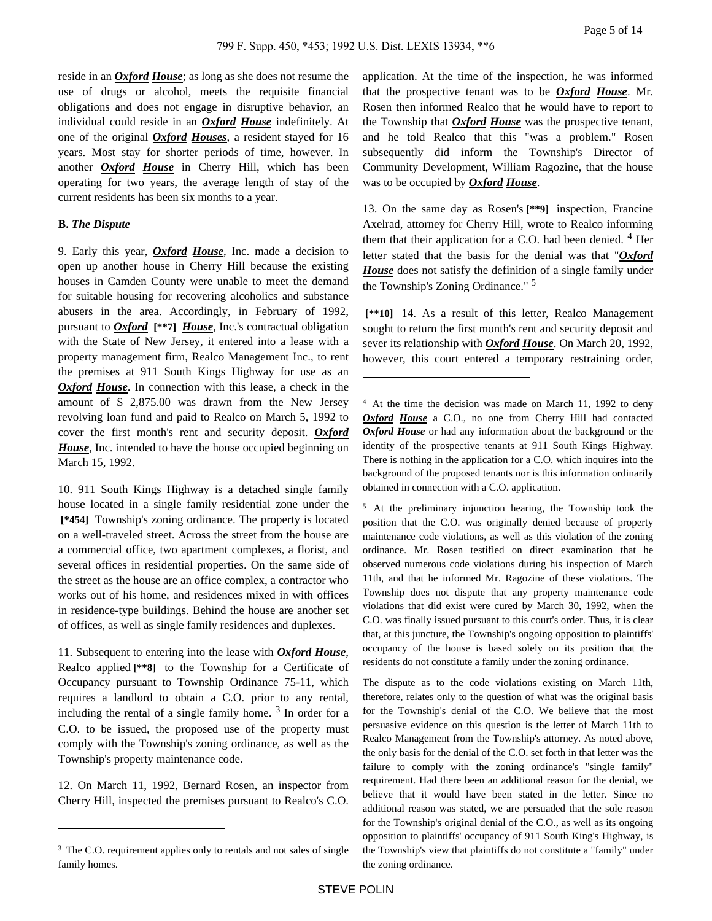reside in an *Oxford House*; as long as she does not resume the use of drugs or alcohol, meets the requisite financial obligations and does not engage in disruptive behavior, an individual could reside in an *Oxford House* indefinitely. At one of the original *Oxford Houses*, a resident stayed for 16 years. Most stay for shorter periods of time, however. In another *Oxford House* in Cherry Hill, which has been operating for two years, the average length of stay of the current residents has been six months to a year.

## **B.** *The Dispute*

9. Early this year, *Oxford House*, Inc. made a decision to open up another house in Cherry Hill because the existing houses in Camden County were unable to meet the demand for suitable housing for recovering alcoholics and substance abusers in the area. Accordingly, in February of 1992, pursuant to *Oxford* **[\*\*7]** *House*, Inc.'s contractual obligation with the State of New Jersey, it entered into a lease with a property management firm, Realco Management Inc., to rent the premises at 911 South Kings Highway for use as an *Oxford House*. In connection with this lease, a check in the amount of \$ 2,875.00 was drawn from the New Jersey revolving loan fund and paid to Realco on March 5, 1992 to cover the first month's rent and security deposit. *Oxford House*, Inc. intended to have the house occupied beginning on March 15, 1992.

10. 911 South Kings Highway is a detached single family house located in a single family residential zone under the  **[\*454]** Township's zoning ordinance. The property is located on a well-traveled street. Across the street from the house are a commercial office, two apartment complexes, a florist, and several offices in residential properties. On the same side of the street as the house are an office complex, a contractor who works out of his home, and residences mixed in with offices in residence-type buildings. Behind the house are another set of offices, as well as single family residences and duplexes.

11. Subsequent to entering into the lease with *Oxford House*, Realco applied **[\*\*8]** to the Township for a Certificate of Occupancy pursuant to Township Ordinance 75-11, which requires a landlord to obtain a C.O. prior to any rental, including the rental of a single family home.  $3$  In order for a C.O. to be issued, the proposed use of the property must comply with the Township's zoning ordinance, as well as the Township's property maintenance code.

12. On March 11, 1992, Bernard Rosen, an inspector from Cherry Hill, inspected the premises pursuant to Realco's C.O. application. At the time of the inspection, he was informed that the prospective tenant was to be *Oxford House*. Mr. Rosen then informed Realco that he would have to report to the Township that *Oxford House* was the prospective tenant, and he told Realco that this "was a problem." Rosen subsequently did inform the Township's Director of Community Development, William Ragozine, that the house was to be occupied by *Oxford House*.

13. On the same day as Rosen's **[\*\*9]** inspection, Francine Axelrad, attorney for Cherry Hill, wrote to Realco informing them that their application for a C.O. had been denied.  $4$  Her letter stated that the basis for the denial was that "*Oxford House* does not satisfy the definition of a single family under the Township's Zoning Ordinance." <sup>5</sup>

 **[\*\*10]** 14. As a result of this letter, Realco Management sought to return the first month's rent and security deposit and sever its relationship with *Oxford House*. On March 20, 1992, however, this court entered a temporary restraining order,

<sup>5</sup>At the preliminary injunction hearing, the Township took the position that the C.O. was originally denied because of property maintenance code violations, as well as this violation of the zoning ordinance. Mr. Rosen testified on direct examination that he observed numerous code violations during his inspection of March 11th, and that he informed Mr. Ragozine of these violations. The Township does not dispute that any property maintenance code violations that did exist were cured by March 30, 1992, when the C.O. was finally issued pursuant to this court's order. Thus, it is clear that, at this juncture, the Township's ongoing opposition to plaintiffs' occupancy of the house is based solely on its position that the residents do not constitute a family under the zoning ordinance.

The dispute as to the code violations existing on March 11th, therefore, relates only to the question of what was the original basis for the Township's denial of the C.O. We believe that the most persuasive evidence on this question is the letter of March 11th to Realco Management from the Township's attorney. As noted above, the only basis for the denial of the C.O. set forth in that letter was the failure to comply with the zoning ordinance's "single family" requirement. Had there been an additional reason for the denial, we believe that it would have been stated in the letter. Since no additional reason was stated, we are persuaded that the sole reason for the Township's original denial of the C.O., as well as its ongoing opposition to plaintiffs' occupancy of 911 South King's Highway, is the Township's view that plaintiffs do not constitute a "family" under the zoning ordinance.

<sup>&</sup>lt;sup>3</sup> The C.O. requirement applies only to rentals and not sales of single family homes.

<sup>&</sup>lt;sup>4</sup> At the time the decision was made on March 11, 1992 to deny *Oxford House* a C.O., no one from Cherry Hill had contacted *Oxford House* or had any information about the background or the identity of the prospective tenants at 911 South Kings Highway. There is nothing in the application for a C.O. which inquires into the background of the proposed tenants nor is this information ordinarily obtained in connection with a C.O. application.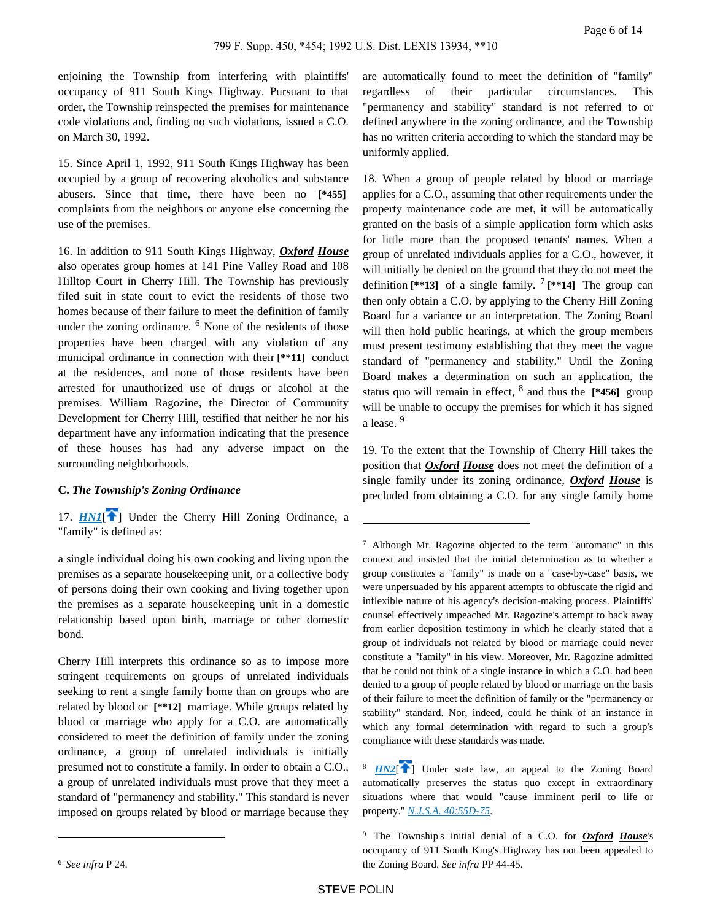enjoining the Township from interfering with plaintiffs' occupancy of 911 South Kings Highway. Pursuant to that order, the Township reinspected the premises for maintenance code violations and, finding no such violations, issued a C.O. on March 30, 1992.

15. Since April 1, 1992, 911 South Kings Highway has been occupied by a group of recovering alcoholics and substance abusers. Since that time, there have been no **[\*455]**  complaints from the neighbors or anyone else concerning the use of the premises.

16. In addition to 911 South Kings Highway, *Oxford House* also operates group homes at 141 Pine Valley Road and 108 Hilltop Court in Cherry Hill. The Township has previously filed suit in state court to evict the residents of those two homes because of their failure to meet the definition of family under the zoning ordinance. <sup>6</sup> None of the residents of those properties have been charged with any violation of any municipal ordinance in connection with their **[\*\*11]** conduct at the residences, and none of those residents have been arrested for unauthorized use of drugs or alcohol at the premises. William Ragozine, the Director of Community Development for Cherry Hill, testified that neither he nor his department have any information indicating that the presence of these houses has had any adverse impact on the surrounding neighborhoods.

#### **C.** *The Township's Zoning Ordinance*

<span id="page-5-0"></span>17. *[HN1](https://advance.lexis.com/api/document?collection=cases&id=urn:contentItem:3S4N-GPD0-008H-F367-00000-00&context=&link=clscc1)*<sup>[4[\]](#page-0-0)</sup> Under the Cherry Hill Zoning Ordinance, a "family" is defined as:

a single individual doing his own cooking and living upon the premises as a separate housekeeping unit, or a collective body of persons doing their own cooking and living together upon the premises as a separate housekeeping unit in a domestic relationship based upon birth, marriage or other domestic bond.

Cherry Hill interprets this ordinance so as to impose more stringent requirements on groups of unrelated individuals seeking to rent a single family home than on groups who are related by blood or **[\*\*12]** marriage. While groups related by blood or marriage who apply for a C.O. are automatically considered to meet the definition of family under the zoning ordinance, a group of unrelated individuals is initially presumed not to constitute a family. In order to obtain a C.O., a group of unrelated individuals must prove that they meet a standard of "permanency and stability." This standard is never imposed on groups related by blood or marriage because they are automatically found to meet the definition of "family" regardless of their particular circumstances. This "permanency and stability" standard is not referred to or defined anywhere in the zoning ordinance, and the Township has no written criteria according to which the standard may be uniformly applied.

18. When a group of people related by blood or marriage applies for a C.O., assuming that other requirements under the property maintenance code are met, it will be automatically granted on the basis of a simple application form which asks for little more than the proposed tenants' names. When a group of unrelated individuals applies for a C.O., however, it will initially be denied on the ground that they do not meet the definition  $[**13]$  of a single family. <sup>7</sup>  $[**14]$  The group can then only obtain a C.O. by applying to the Cherry Hill Zoning Board for a variance or an interpretation. The Zoning Board will then hold public hearings, at which the group members must present testimony establishing that they meet the vague standard of "permanency and stability." Until the Zoning Board makes a determination on such an application, the status quo will remain in effect, <sup>8</sup> and thus the **[\*456]** group will be unable to occupy the premises for which it has signed a lease.<sup>9</sup>

19. To the extent that the Township of Cherry Hill takes the position that *Oxford House* does not meet the definition of a single family under its zoning ordinance, *Oxford House* is precluded from obtaining a C.O. for any single family home

<sup>6</sup>*See infra* P 24.

<sup>7</sup>Although Mr. Ragozine objected to the term "automatic" in this context and insisted that the initial determination as to whether a group constitutes a "family" is made on a "case-by-case" basis, we were unpersuaded by his apparent attempts to obfuscate the rigid and inflexible nature of his agency's decision-making process. Plaintiffs' counsel effectively impeached Mr. Ragozine's attempt to back away from earlier deposition testimony in which he clearly stated that a group of individuals not related by blood or marriage could never constitute a "family" in his view. Moreover, Mr. Ragozine admitted that he could not think of a single instance in which a C.O. had been denied to a group of people related by blood or marriage on the basis of their failure to meet the definition of family or the "permanency or stability" standard. Nor, indeed, could he think of an instance in which any formal determination with regard to such a group's compliance with these standards was made.

<span id="page-5-1"></span><sup>&</sup>lt;sup>8</sup> [HN2](https://advance.lexis.com/api/document?collection=cases&id=urn:contentItem:3S4N-GPD0-008H-F367-00000-00&context=&link=clscc2)<sup>[\[](#page-0-1)42</sup>] Under state law, an appeal to the Zoning Board automatically preserves the status quo except in extraordinary situations where that would "cause imminent peril to life or property." *[N.J.S.A. 40:55D-75](https://advance.lexis.com/api/document?collection=statutes-legislation&id=urn:contentItem:5F0Y-C771-6F13-044N-00000-00&context=)*.

<sup>9</sup>The Township's initial denial of a C.O. for *Oxford House*'s occupancy of 911 South King's Highway has not been appealed to the Zoning Board. *See infra* PP 44-45.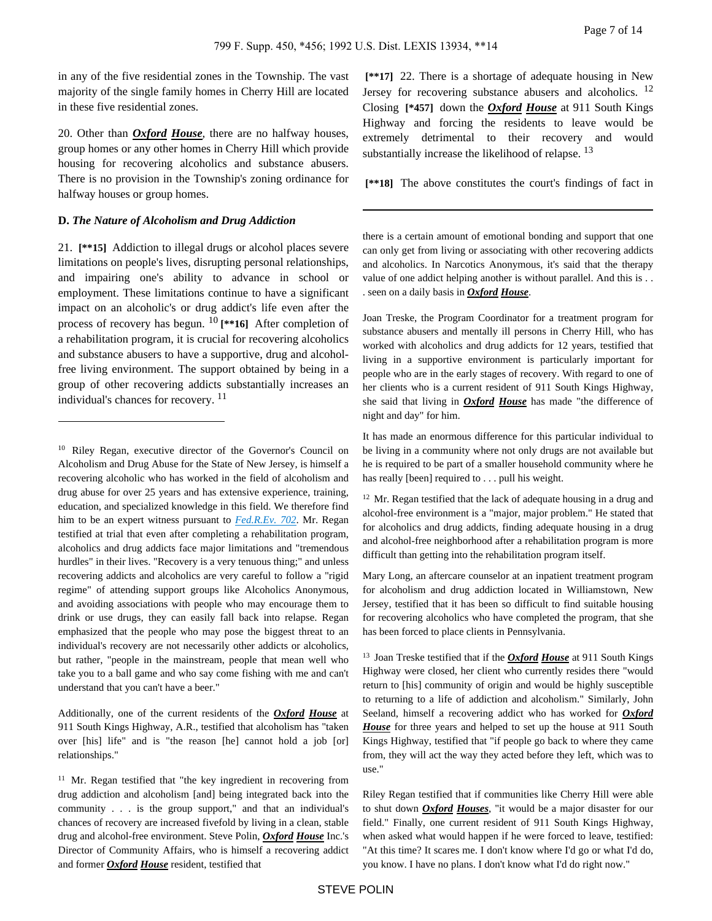in any of the five residential zones in the Township. The vast majority of the single family homes in Cherry Hill are located in these five residential zones.

20. Other than *Oxford House*, there are no halfway houses, group homes or any other homes in Cherry Hill which provide housing for recovering alcoholics and substance abusers. There is no provision in the Township's zoning ordinance for halfway houses or group homes.

#### **D.** *The Nature of Alcoholism and Drug Addiction*

21. **[\*\*15]** Addiction to illegal drugs or alcohol places severe limitations on people's lives, disrupting personal relationships, and impairing one's ability to advance in school or employment. These limitations continue to have a significant impact on an alcoholic's or drug addict's life even after the process of recovery has begun. 10 **[\*\*16]** After completion of a rehabilitation program, it is crucial for recovering alcoholics and substance abusers to have a supportive, drug and alcoholfree living environment. The support obtained by being in a group of other recovering addicts substantially increases an individual's chances for recovery. <sup>11</sup>

Additionally, one of the current residents of the *Oxford House* at 911 South Kings Highway, A.R., testified that alcoholism has "taken over [his] life" and is "the reason [he] cannot hold a job [or] relationships."

<sup>11</sup> Mr. Regan testified that "the key ingredient in recovering from drug addiction and alcoholism [and] being integrated back into the community . . . is the group support," and that an individual's chances of recovery are increased fivefold by living in a clean, stable drug and alcohol-free environment. Steve Polin, *Oxford House* Inc.'s Director of Community Affairs, who is himself a recovering addict and former *Oxford House* resident, testified that

 **[\*\*17]** 22. There is a shortage of adequate housing in New Jersey for recovering substance abusers and alcoholics. <sup>12</sup> Closing **[\*457]** down the *Oxford House* at 911 South Kings Highway and forcing the residents to leave would be extremely detrimental to their recovery and would substantially increase the likelihood of relapse.  $^{13}$ 

 **[\*\*18]** The above constitutes the court's findings of fact in

there is a certain amount of emotional bonding and support that one can only get from living or associating with other recovering addicts and alcoholics. In Narcotics Anonymous, it's said that the therapy value of one addict helping another is without parallel. And this is . . . seen on a daily basis in *Oxford House*.

Joan Treske, the Program Coordinator for a treatment program for substance abusers and mentally ill persons in Cherry Hill, who has worked with alcoholics and drug addicts for 12 years, testified that living in a supportive environment is particularly important for people who are in the early stages of recovery. With regard to one of her clients who is a current resident of 911 South Kings Highway, she said that living in *Oxford House* has made "the difference of night and day" for him.

It has made an enormous difference for this particular individual to be living in a community where not only drugs are not available but he is required to be part of a smaller household community where he has really [been] required to . . . pull his weight.

 $12$  Mr. Regan testified that the lack of adequate housing in a drug and alcohol-free environment is a "major, major problem." He stated that for alcoholics and drug addicts, finding adequate housing in a drug and alcohol-free neighborhood after a rehabilitation program is more difficult than getting into the rehabilitation program itself.

Mary Long, an aftercare counselor at an inpatient treatment program for alcoholism and drug addiction located in Williamstown, New Jersey, testified that it has been so difficult to find suitable housing for recovering alcoholics who have completed the program, that she has been forced to place clients in Pennsylvania.

Riley Regan testified that if communities like Cherry Hill were able to shut down *Oxford Houses*, "it would be a major disaster for our field." Finally, one current resident of 911 South Kings Highway, when asked what would happen if he were forced to leave, testified: "At this time? It scares me. I don't know where I'd go or what I'd do, you know. I have no plans. I don't know what I'd do right now."

<sup>&</sup>lt;sup>10</sup> Riley Regan, executive director of the Governor's Council on Alcoholism and Drug Abuse for the State of New Jersey, is himself a recovering alcoholic who has worked in the field of alcoholism and drug abuse for over 25 years and has extensive experience, training, education, and specialized knowledge in this field. We therefore find him to be an expert witness pursuant to *[Fed.R.Ev. 702](https://advance.lexis.com/api/document?collection=statutes-legislation&id=urn:contentItem:5GYC-2991-FG36-120S-00000-00&context=)*. Mr. Regan testified at trial that even after completing a rehabilitation program, alcoholics and drug addicts face major limitations and "tremendous hurdles" in their lives. "Recovery is a very tenuous thing;" and unless recovering addicts and alcoholics are very careful to follow a "rigid regime" of attending support groups like Alcoholics Anonymous, and avoiding associations with people who may encourage them to drink or use drugs, they can easily fall back into relapse. Regan emphasized that the people who may pose the biggest threat to an individual's recovery are not necessarily other addicts or alcoholics, but rather, "people in the mainstream, people that mean well who take you to a ball game and who say come fishing with me and can't understand that you can't have a beer."

<sup>&</sup>lt;sup>13</sup> Joan Treske testified that if the *Oxford House* at 911 South Kings Highway were closed, her client who currently resides there "would return to [his] community of origin and would be highly susceptible to returning to a life of addiction and alcoholism." Similarly, John Seeland, himself a recovering addict who has worked for *Oxford House* for three years and helped to set up the house at 911 South Kings Highway, testified that "if people go back to where they came from, they will act the way they acted before they left, which was to use."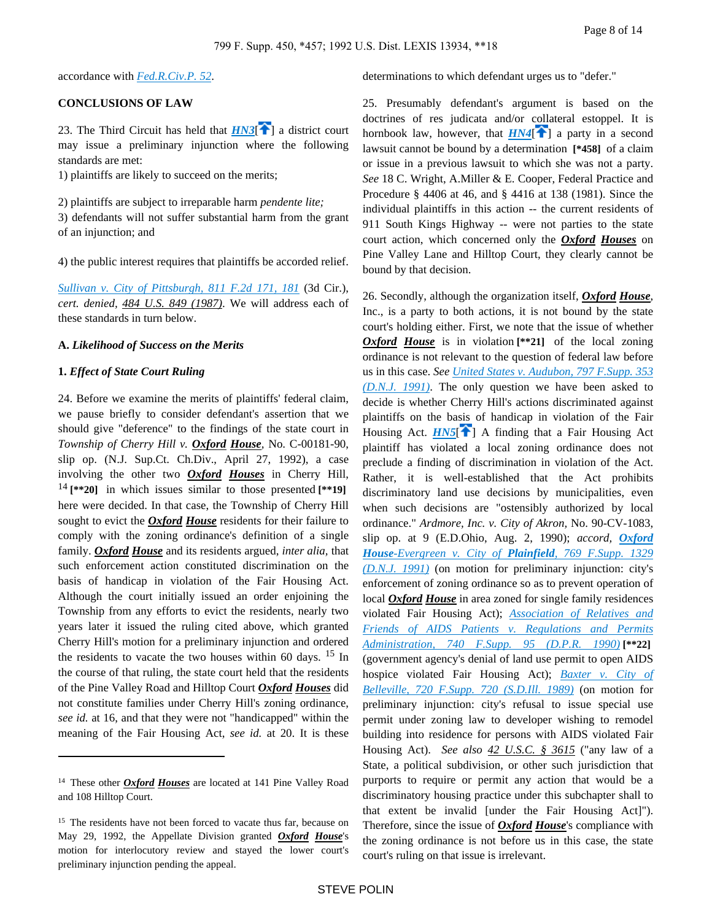accordance with *[Fed.R.Civ.P. 52](https://advance.lexis.com/api/document?collection=statutes-legislation&id=urn:contentItem:5GYC-22N1-6N19-F032-00000-00&context=)*.

## **CONCLUSIONS OF LAW**

23. The Third Circuit has held that  $H N3$ <sup>[\[](#page-1-0)2]</sup> a district court may issue a preliminary injunction where the following standards are met:

1) plaintiffs are likely to succeed on the merits;

2) plaintiffs are subject to irreparable harm *pendente lite;* 3) defendants will not suffer substantial harm from the grant of an injunction; and

4) the public interest requires that plaintiffs be accorded relief.

*[Sullivan v. City of Pittsburgh, 811 F.2d 171, 181](https://advance.lexis.com/api/document?collection=cases&id=urn:contentItem:3S4X-CT90-001B-K20M-00000-00&context=)* (3d Cir.), *cert. denied, 484 U.S. 849 (1987)*. We will address each of these standards in turn below.

## **A.** *Likelihood of Success on the Merits*

#### **1.** *Effect of State Court Ruling*

24. Before we examine the merits of plaintiffs' federal claim, we pause briefly to consider defendant's assertion that we should give "deference" to the findings of the state court in *Township of Cherry Hill v. Oxford House,* No. C-00181-90, slip op. (N.J. Sup.Ct. Ch.Div., April 27, 1992), a case involving the other two *Oxford Houses* in Cherry Hill, <sup>14</sup> **[\*\*20]** in which issues similar to those presented **[\*\*19]**  here were decided. In that case, the Township of Cherry Hill sought to evict the *Oxford House* residents for their failure to comply with the zoning ordinance's definition of a single family. *Oxford House* and its residents argued, *inter alia,* that such enforcement action constituted discrimination on the basis of handicap in violation of the Fair Housing Act. Although the court initially issued an order enjoining the Township from any efforts to evict the residents, nearly two years later it issued the ruling cited above, which granted Cherry Hill's motion for a preliminary injunction and ordered the residents to vacate the two houses within 60 days.  $15$  In the course of that ruling, the state court held that the residents of the Pine Valley Road and Hilltop Court *Oxford Houses* did not constitute families under Cherry Hill's zoning ordinance, *see id.* at 16, and that they were not "handicapped" within the meaning of the Fair Housing Act, *see id.* at 20. It is these

determinations to which defendant urges us to "defer."

<span id="page-7-1"></span><span id="page-7-0"></span>25. Presumably defendant's argument is based on the doctrines of res judicata and/or collateral estoppel. It is hornbook law, however, that  $HM4$ <sup>[ $\uparrow$ </sup>] a party in a second lawsuit cannot be bound by a determination **[\*458]** of a claim or issue in a previous lawsuit to which she was not a party. *See* 18 C. Wright, A.Miller & E. Cooper, Federal Practice and Procedure § 4406 at 46, and § 4416 at 138 (1981). Since the individual plaintiffs in this action -- the current residents of 911 South Kings Highway -- were not parties to the state court action, which concerned only the *Oxford Houses* on Pine Valley Lane and Hilltop Court, they clearly cannot be bound by that decision.

<span id="page-7-2"></span>26. Secondly, although the organization itself, *Oxford House*, Inc., is a party to both actions, it is not bound by the state court's holding either. First, we note that the issue of whether *Oxford House* is in violation<sup>[\*\*21]</sup> of the local zoning ordinance is not relevant to the question of federal law before us in this case. *See [United States v. Audubon, 797 F.Supp. 353](https://advance.lexis.com/api/document?collection=cases&id=urn:contentItem:3S4N-B8H0-001T-7304-00000-00&context=)  [\(D.N.J. 1991\)](https://advance.lexis.com/api/document?collection=cases&id=urn:contentItem:3S4N-B8H0-001T-7304-00000-00&context=)*. The only question we have been asked to decide is whether Cherry Hill's actions discriminated against plaintiffs on the basis of handicap in violation of the Fair Housing Act.  $H N 5$ <sup>[1]</sup> A finding that a Fair Housing Act plaintiff has violated a local zoning ordinance does not preclude a finding of discrimination in violation of the Act. Rather, it is well-established that the Act prohibits discriminatory land use decisions by municipalities, even when such decisions are "ostensibly authorized by local ordinance." *Ardmore, Inc. v. City of Akron,* No. 90-CV-1083, slip op. at 9 (E.D.Ohio, Aug. 2, 1990); *accord, [Oxford](https://advance.lexis.com/api/document?collection=cases&id=urn:contentItem:3S4N-BV70-001T-7071-00000-00&context=) House[-Evergreen v. City of](https://advance.lexis.com/api/document?collection=cases&id=urn:contentItem:3S4N-BV70-001T-7071-00000-00&context=) Plainfield, 769 F.Supp. 1329 [\(D.N.J. 1991\)](https://advance.lexis.com/api/document?collection=cases&id=urn:contentItem:3S4N-BV70-001T-7071-00000-00&context=)* (on motion for preliminary injunction: city's enforcement of zoning ordinance so as to prevent operation of local *Oxford House* in area zoned for single family residences violated Fair Housing Act); *[Association of Relatives and](https://advance.lexis.com/api/document?collection=cases&id=urn:contentItem:3S4N-8G10-0054-448X-00000-00&context=)  [Friends of AIDS Patients v. Regulations and Permits](https://advance.lexis.com/api/document?collection=cases&id=urn:contentItem:3S4N-8G10-0054-448X-00000-00&context=)  [Administration, 740 F.Supp. 95 \(D.P.R. 1990\)](https://advance.lexis.com/api/document?collection=cases&id=urn:contentItem:3S4N-8G10-0054-448X-00000-00&context=)* **[\*\*22]**  (government agency's denial of land use permit to open AIDS hospice violated Fair Housing Act); *[Baxter v. City of](https://advance.lexis.com/api/document?collection=cases&id=urn:contentItem:3S4N-BGM0-0054-419T-00000-00&context=)  [Belleville, 720 F.Supp. 720 \(S.D.Ill. 1989\)](https://advance.lexis.com/api/document?collection=cases&id=urn:contentItem:3S4N-BGM0-0054-419T-00000-00&context=)* (on motion for preliminary injunction: city's refusal to issue special use permit under zoning law to developer wishing to remodel building into residence for persons with AIDS violated Fair Housing Act). *See also 42 U.S.C. § 3615* ("any law of a State, a political subdivision, or other such jurisdiction that purports to require or permit any action that would be a discriminatory housing practice under this subchapter shall to that extent be invalid [under the Fair Housing Act]"). Therefore, since the issue of *Oxford House*'s compliance with the zoning ordinance is not before us in this case, the state court's ruling on that issue is irrelevant.

<sup>&</sup>lt;sup>14</sup> These other *Oxford Houses* are located at 141 Pine Valley Road and 108 Hilltop Court.

<sup>&</sup>lt;sup>15</sup> The residents have not been forced to vacate thus far, because on May 29, 1992, the Appellate Division granted *Oxford House*'s motion for interlocutory review and stayed the lower court's preliminary injunction pending the appeal.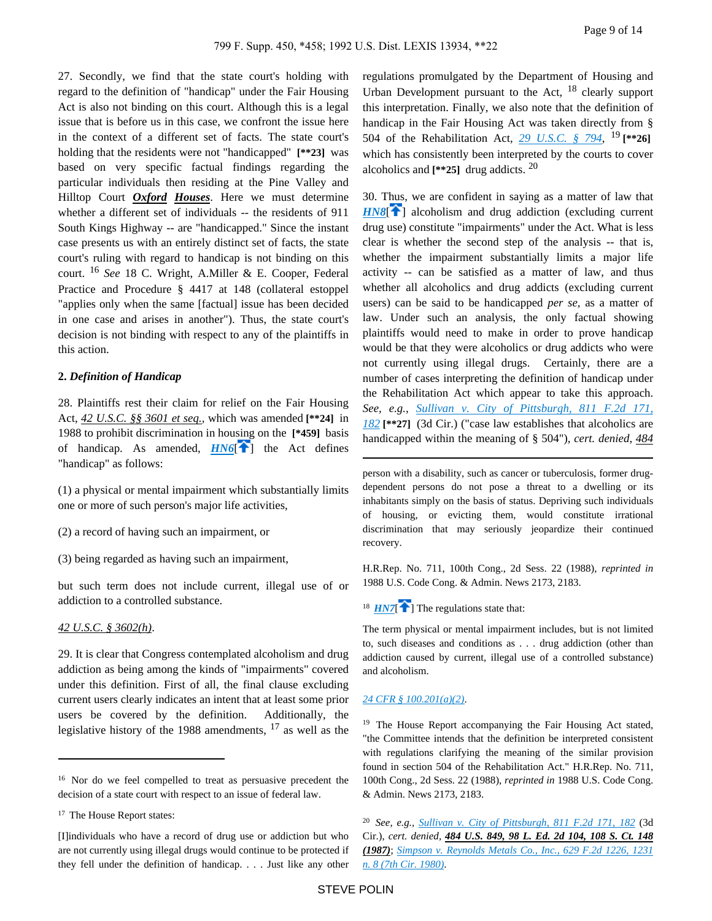27. Secondly, we find that the state court's holding with regard to the definition of "handicap" under the Fair Housing Act is also not binding on this court. Although this is a legal issue that is before us in this case, we confront the issue here in the context of a different set of facts. The state court's holding that the residents were not "handicapped" **[\*\*23]** was based on very specific factual findings regarding the particular individuals then residing at the Pine Valley and Hilltop Court *Oxford Houses*. Here we must determine whether a different set of individuals -- the residents of 911 South Kings Highway -- are "handicapped." Since the instant case presents us with an entirely distinct set of facts, the state court's ruling with regard to handicap is not binding on this court. <sup>16</sup> *See* 18 C. Wright, A.Miller & E. Cooper, Federal Practice and Procedure § 4417 at 148 (collateral estoppel "applies only when the same [factual] issue has been decided in one case and arises in another"). Thus, the state court's decision is not binding with respect to any of the plaintiffs in this action.

#### **2.** *Definition of Handicap*

28. Plaintiffs rest their claim for relief on the Fair Housing Act, *42 U.S.C. §§ 3601 et seq.,* which was amended **[\*\*24]** in 1988 to prohibit discrimination in hou[sing](#page-1-1) on the **[\*459]** basis of handicap. As amended,  $H N6$ <sup>[ $\uparrow$ </sup>] the Act defines "handicap" as follows:

(1) a physical or mental impairment which substantially limits one or more of such person's major life activities,

(2) a record of having such an impairment, or

(3) being regarded as having such an impairment,

but such term does not include current, illegal use of or addiction to a controlled substance.

## *42 U.S.C. § 3602(h)*.

29. It is clear that Congress contemplated alcoholism and drug addiction as being among the kinds of "impairments" covered under this definition. First of all, the final clause excluding current users clearly indicates an intent that at least some prior users be covered by the definition. Additionally, the legislative history of the 1988 amendments,  $17$  as well as the

<sup>17</sup> The House Report states:

regulations promulgated by the Department of Housing and Urban Development pursuant to the Act,  $18$  clearly support this interpretation. Finally, we also note that the definition of handicap in the Fair Housing Act was taken directly from § 504 of the Rehabilitation Act, *[29 U.S.C. § 794](https://advance.lexis.com/api/document?collection=statutes-legislation&id=urn:contentItem:4YF7-GVJ1-NRF4-42X8-00000-00&context=)*, <sup>19</sup> **[\*\*26]**  which has consistently been interpreted by the courts to cover alcoholics and **[\*\*25]** drug addicts. <sup>20</sup>

<span id="page-8-2"></span>30. Thus, we are confident in saying as a matter of law that *[HN8](https://advance.lexis.com/api/document?collection=cases&id=urn:contentItem:3S4N-GPD0-008H-F367-00000-00&context=&link=clscc8)*<sup>[\[](#page-1-2)2]</sup> alcoholism and drug addiction (excluding current drug use) constitute "impairments" under the Act. What is less clear is whether the second step of the analysis -- that is, whether the impairment substantially limits a major life activity -- can be satisfied as a matter of law, and thus whether all alcoholics and drug addicts (excluding current users) can be said to be handicapped *per se,* as a matter of law. Under such an analysis, the only factual showing plaintiffs would need to make in order to prove handicap would be that they were alcoholics or drug addicts who were not currently using illegal drugs. Certainly, there are a number of cases interpreting the definition of handicap under the Rehabilitation Act which appear to take this approach. *See, e.g., [Sullivan v. City of Pittsburgh, 811 F.2d 171,](https://advance.lexis.com/api/document?collection=cases&id=urn:contentItem:3S4X-CT90-001B-K20M-00000-00&context=)  [182](https://advance.lexis.com/api/document?collection=cases&id=urn:contentItem:3S4X-CT90-001B-K20M-00000-00&context=)* **[\*\*27]** (3d Cir.) ("case law establishes that alcoholics are handicapped within the meaning of § 504"), *cert. denied, 484* 

<span id="page-8-0"></span>person with a disability, such as cancer or tuberculosis, former drugdependent persons do not pose a threat to a dwelling or its inhabitants simply on the basis of status. Depriving such individuals of housing, or evicting them, would constitute irrational discrimination that may seriously jeopardize their continued recovery.

H.R.Rep. No. 711, 100th Cong., 2d Sess. 22 (1988), *reprinted in* 1988 U.S. Code Cong. & Admin. News 2173, 2183.

<span id="page-8-1"></span><sup>18</sup>  $HNT$ <sup> $\uparrow$ </sup>] The regulations state that:

The term physical or mental impairment includes, but is not limited to, such diseases and conditions as . . . drug addiction (other than addiction caused by current, illegal use of a controlled substance) and alcoholism.

#### *[24 CFR § 100.201\(a\)\(2\)](https://advance.lexis.com/api/document?collection=administrative-codes&id=urn:contentItem:5MD7-1KX0-008G-Y3M4-00000-00&context=)*.

<sup>19</sup> The House Report accompanying the Fair Housing Act stated, "the Committee intends that the definition be interpreted consistent with regulations clarifying the meaning of the similar provision found in section 504 of the Rehabilitation Act." H.R.Rep. No. 711, 100th Cong., 2d Sess. 22 (1988), *reprinted in* 1988 U.S. Code Cong. & Admin. News 2173, 2183.

<sup>&</sup>lt;sup>16</sup> Nor do we feel compelled to treat as persuasive precedent the decision of a state court with respect to an issue of federal law.

<sup>[</sup>I]individuals who have a record of drug use or addiction but who are not currently using illegal drugs would continue to be protected if they fell under the definition of handicap. . . . Just like any other

<sup>20</sup>*See, e.g., [Sullivan v. City of Pittsburgh, 811 F.2d 171, 182](https://advance.lexis.com/api/document?collection=cases&id=urn:contentItem:3S4X-CT90-001B-K20M-00000-00&context=)* (3d Cir.), *cert. denied, 484 U.S. 849, 98 L. Ed. 2d 104, 108 S. Ct. 148 (1987)*; *[Simpson v. Reynolds Metals Co., Inc., 629 F.2d 1226, 1231](https://advance.lexis.com/api/document?collection=cases&id=urn:contentItem:3S4X-B0V0-0039-W2MP-00000-00&context=)  [n. 8 \(7th Cir. 1980\)](https://advance.lexis.com/api/document?collection=cases&id=urn:contentItem:3S4X-B0V0-0039-W2MP-00000-00&context=)*.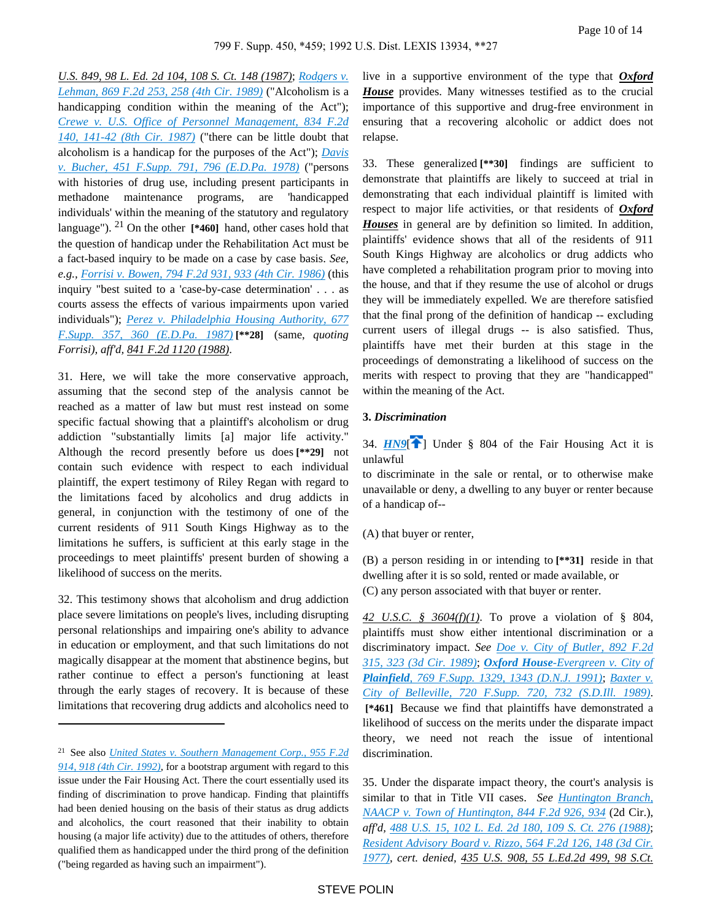*U.S. 849, 98 L. Ed. 2d 104, 108 S. Ct. 148 (1987)*; *[Rodgers v.](https://advance.lexis.com/api/document?collection=cases&id=urn:contentItem:3S4X-CTW0-003B-53KK-00000-00&context=)  [Lehman, 869 F.2d 253, 258 \(4th Cir. 1989\)](https://advance.lexis.com/api/document?collection=cases&id=urn:contentItem:3S4X-CTW0-003B-53KK-00000-00&context=)* ("Alcoholism is a handicapping condition within the meaning of the Act"); *[Crewe v. U.S. Office of Personnel Management, 834 F.2d](https://advance.lexis.com/api/document?collection=cases&id=urn:contentItem:3S4X-4XN0-001B-K442-00000-00&context=)  [140, 141-42 \(8th Cir. 1987\)](https://advance.lexis.com/api/document?collection=cases&id=urn:contentItem:3S4X-4XN0-001B-K442-00000-00&context=)* ("there can be little doubt that alcoholism is a handicap for the purposes of the Act"); *[Davis](https://advance.lexis.com/api/document?collection=cases&id=urn:contentItem:3S4N-M180-0054-74G9-00000-00&context=)  [v. Bucher, 451 F.Supp. 791, 796 \(E.D.Pa. 1978\)](https://advance.lexis.com/api/document?collection=cases&id=urn:contentItem:3S4N-M180-0054-74G9-00000-00&context=)* ("persons with histories of drug use, including present participants in methadone maintenance programs, are 'handicapped individuals' within the meaning of the statutory and regulatory language"). 21 On the other **[\*460]** hand, other cases hold that the question of handicap under the Rehabilitation Act must be a fact-based inquiry to be made on a case by case basis. *See, e.g., [Forrisi v. Bowen, 794 F.2d 931, 933 \(4th Cir. 1986\)](https://advance.lexis.com/api/document?collection=cases&id=urn:contentItem:3S4X-40V0-0039-P0BW-00000-00&context=)* (this inquiry "best suited to a 'case-by-case determination' . . . as courts assess the effects of various impairments upon varied individuals"); *[Perez v. Philadelphia Housing Authority, 677](https://advance.lexis.com/api/document?collection=cases&id=urn:contentItem:3S4N-B6B0-003B-63WV-00000-00&context=)  [F.Supp. 357, 360 \(E.D.Pa. 1987\)](https://advance.lexis.com/api/document?collection=cases&id=urn:contentItem:3S4N-B6B0-003B-63WV-00000-00&context=)* **[\*\*28]** (same, *quoting Forrisi), aff'd, 841 F.2d 1120 (1988)*.

31. Here, we will take the more conservative approach, assuming that the second step of the analysis cannot be reached as a matter of law but must rest instead on some specific factual showing that a plaintiff's alcoholism or drug addiction "substantially limits [a] major life activity." Although the record presently before us does **[\*\*29]** not contain such evidence with respect to each individual plaintiff, the expert testimony of Riley Regan with regard to the limitations faced by alcoholics and drug addicts in general, in conjunction with the testimony of one of the current residents of 911 South Kings Highway as to the limitations he suffers, is sufficient at this early stage in the proceedings to meet plaintiffs' present burden of showing a likelihood of success on the merits.

32. This testimony shows that alcoholism and drug addiction place severe limitations on people's lives, including disrupting personal relationships and impairing one's ability to advance in education or employment, and that such limitations do not magically disappear at the moment that abstinence begins, but rather continue to effect a person's functioning at least through the early stages of recovery. It is because of these limitations that recovering drug addicts and alcoholics need to

live in a supportive environment of the type that *Oxford House* provides. Many witnesses testified as to the crucial importance of this supportive and drug-free environment in ensuring that a recovering alcoholic or addict does not relapse.

33. These generalized **[\*\*30]** findings are sufficient to demonstrate that plaintiffs are likely to succeed at trial in demonstrating that each individual plaintiff is limited with respect to major life activities, or that residents of *Oxford Houses* in general are by definition so limited. In addition, plaintiffs' evidence shows that all of the residents of 911 South Kings Highway are alcoholics or drug addicts who have completed a rehabilitation program prior to moving into the house, and that if they resume the use of alcohol or drugs they will be immediately expelled. We are therefore satisfied that the final prong of the definition of handicap -- excluding current users of illegal drugs -- is also satisfied. Thus, plaintiffs have met their burden at this stage in the proceedings of demonstrating a likelihood of success on the merits with respect to proving that they are "handicapped" within the meaning of the Act.

#### <span id="page-9-0"></span>**3.** *Discrimination*

34.  $HNI \nightharpoonup$  Under § 804 of the Fair Housing Act it is unlawful

to discriminate in the sale or rental, or to otherwise make unavailable or deny, a dwelling to any buyer or renter because of a handicap of--

(A) that buyer or renter,

(B) a person residing in or intending to **[\*\*31]** reside in that dwelling after it is so sold, rented or made available, or (C) any person associated with that buyer or renter.

*42 U.S.C. § 3604(f)(1)*. To prove a violation of § 804, plaintiffs must show either intentional discrimination or a discriminatory impact. *See [Doe v. City of Butler, 892 F.2d](https://advance.lexis.com/api/document?collection=cases&id=urn:contentItem:3S4X-7MD0-003B-54JG-00000-00&context=)  [315, 323 \(3d Cir. 1989\)](https://advance.lexis.com/api/document?collection=cases&id=urn:contentItem:3S4X-7MD0-003B-54JG-00000-00&context=)*; *Oxford House[-Evergreen v. City of](https://advance.lexis.com/api/document?collection=cases&id=urn:contentItem:3S4N-BV70-001T-7071-00000-00&context=)  Plainfield[, 769 F.Supp. 1329, 1343 \(D.N.J. 1991\)](https://advance.lexis.com/api/document?collection=cases&id=urn:contentItem:3S4N-BV70-001T-7071-00000-00&context=)*; *[Baxter v.](https://advance.lexis.com/api/document?collection=cases&id=urn:contentItem:3S4N-BGM0-0054-419T-00000-00&context=)  [City of Belleville, 720 F.Supp. 720, 732 \(S.D.Ill. 1989\)](https://advance.lexis.com/api/document?collection=cases&id=urn:contentItem:3S4N-BGM0-0054-419T-00000-00&context=)*.  **[\*461]** Because we find that plaintiffs have demonstrated a likelihood of success on the merits under the disparate impact theory, we need not reach the issue of intentional discrimination.

35. Under the disparate impact theory, the court's analysis is similar to that in Title VII cases. *See [Huntington Branch,](https://advance.lexis.com/api/document?collection=cases&id=urn:contentItem:3S4X-1KC0-001B-K1HF-00000-00&context=)  [NAACP v. Town of Huntington, 844 F.2d 926, 934](https://advance.lexis.com/api/document?collection=cases&id=urn:contentItem:3S4X-1KC0-001B-K1HF-00000-00&context=)* (2d Cir.), *aff'd, [488 U.S. 15, 102 L. Ed. 2d 180, 109 S. Ct. 276 \(1988\)](https://advance.lexis.com/api/document?collection=cases&id=urn:contentItem:3S4X-CWK0-003B-40M9-00000-00&context=)*; *[Resident Advisory Board v. Rizzo, 564 F.2d 126, 148 \(3d Cir.](https://advance.lexis.com/api/document?collection=cases&id=urn:contentItem:3S4X-0BN0-0039-M0XK-00000-00&context=)  [1977\)](https://advance.lexis.com/api/document?collection=cases&id=urn:contentItem:3S4X-0BN0-0039-M0XK-00000-00&context=)*, *cert. denied, 435 U.S. 908, 55 L.Ed.2d 499, 98 S.Ct.* 

<sup>21</sup>See also *[United States v. Southern Management Corp., 955 F.2d](https://advance.lexis.com/api/document?collection=cases&id=urn:contentItem:3S4X-5XJ0-008H-V326-00000-00&context=)  [914, 918 \(4th Cir. 1992\)](https://advance.lexis.com/api/document?collection=cases&id=urn:contentItem:3S4X-5XJ0-008H-V326-00000-00&context=)*, for a bootstrap argument with regard to this issue under the Fair Housing Act. There the court essentially used its finding of discrimination to prove handicap. Finding that plaintiffs had been denied housing on the basis of their status as drug addicts and alcoholics, the court reasoned that their inability to obtain housing (a major life activity) due to the attitudes of others, therefore qualified them as handicapped under the third prong of the definition ("being regarded as having such an impairment").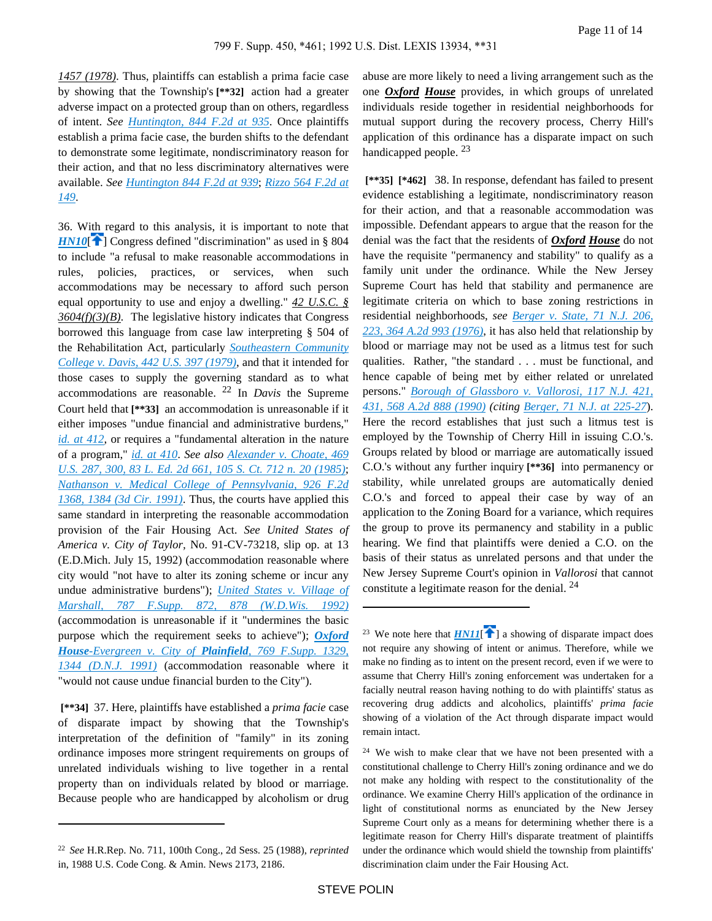*1457 (1978)*. Thus, plaintiffs can establish a prima facie case by showing that the Township's **[\*\*32]** action had a greater adverse impact on a protected group than on others, regardless of intent. *See [Huntington, 844 F.2d at 935](https://advance.lexis.com/api/document?collection=cases&id=urn:contentItem:3S4X-1KC0-001B-K1HF-00000-00&context=)*. Once plaintiffs establish a prima facie case, the burden shifts to the defendant to demonstrate some legitimate, nondiscriminatory reason for their action, and that no less discriminatory alternatives were available. *See [Huntington 844 F.2d at 939](https://advance.lexis.com/api/document?collection=cases&id=urn:contentItem:3S4X-1KC0-001B-K1HF-00000-00&context=)*; *[Rizzo 564 F.2d at](https://advance.lexis.com/api/document?collection=cases&id=urn:contentItem:3S4X-0BN0-0039-M0XK-00000-00&context=)  [149](https://advance.lexis.com/api/document?collection=cases&id=urn:contentItem:3S4X-0BN0-0039-M0XK-00000-00&context=)*.

<span id="page-10-0"></span>36. With regard to this analysis, it is important to note that  $HN10$ [\[](#page-2-0) $\uparrow$ ] Congress defined "discrimination" as used in § 804 to include "a refusal to make reasonable accommodations in rules, policies, practices, or services, when such accommodations may be necessary to afford such person equal opportunity to use and enjoy a dwelling." *42 U.S.C. § 3604(f)(3)(B)*. The legislative history indicates that Congress borrowed this language from case law interpreting § 504 of the Rehabilitation Act, particularly *[Southeastern Community](https://advance.lexis.com/api/document?collection=cases&id=urn:contentItem:3S4X-83T0-003B-S188-00000-00&context=)  [College v. Davis, 442 U.S. 397 \(1979\)](https://advance.lexis.com/api/document?collection=cases&id=urn:contentItem:3S4X-83T0-003B-S188-00000-00&context=)*, and that it intended for those cases to supply the governing standard as to what accommodations are reasonable. 22 In *Davis* the Supreme Court held that **[\*\*33]** an accommodation is unreasonable if it either imposes "undue financial and administrative burdens," *[id. at 412](https://advance.lexis.com/api/document?collection=cases&id=urn:contentItem:3S4X-83T0-003B-S188-00000-00&context=)*, or requires a "fundamental alteration in the nature of a program," *[id. at 410](https://advance.lexis.com/api/document?collection=cases&id=urn:contentItem:3S4X-83T0-003B-S188-00000-00&context=)*. *See also [Alexander v. Choate, 469](https://advance.lexis.com/api/document?collection=cases&id=urn:contentItem:3S4X-CN20-0039-N2G8-00000-00&context=)  [U.S. 287, 300, 83 L. Ed. 2d 661, 105 S. Ct. 712 n. 20 \(1985\)](https://advance.lexis.com/api/document?collection=cases&id=urn:contentItem:3S4X-CN20-0039-N2G8-00000-00&context=)*; *[Nathanson v. Medical College of Pennsylvania, 926 F.2d](https://advance.lexis.com/api/document?collection=cases&id=urn:contentItem:3S4X-FT10-008H-V11S-00000-00&context=)  [1368, 1384 \(3d Cir. 1991\)](https://advance.lexis.com/api/document?collection=cases&id=urn:contentItem:3S4X-FT10-008H-V11S-00000-00&context=)*. Thus, the courts have applied this same standard in interpreting the reasonable accommodation provision of the Fair Housing Act. *See United States of America v. City of Taylor,* No. 91-CV-73218, slip op. at 13 (E.D.Mich. July 15, 1992) (accommodation reasonable where city would "not have to alter its zoning scheme or incur any undue administrative burdens"); *[United States v. Village of](https://advance.lexis.com/api/document?collection=cases&id=urn:contentItem:3S4N-DJH0-001T-729Y-00000-00&context=)  [Marshall, 787 F.Supp. 872, 878 \(W.D.Wis. 1992\)](https://advance.lexis.com/api/document?collection=cases&id=urn:contentItem:3S4N-DJH0-001T-729Y-00000-00&context=)* (accommodation is unreasonable if it "undermines the basic purpose which the requirement seeks to achieve"); *[Oxford](https://advance.lexis.com/api/document?collection=cases&id=urn:contentItem:3S4N-BV70-001T-7071-00000-00&context=) House[-Evergreen v. City of](https://advance.lexis.com/api/document?collection=cases&id=urn:contentItem:3S4N-BV70-001T-7071-00000-00&context=) Plainfield, 769 F.Supp. 1329, [1344 \(D.N.J. 1991\)](https://advance.lexis.com/api/document?collection=cases&id=urn:contentItem:3S4N-BV70-001T-7071-00000-00&context=)* (accommodation reasonable where it "would not cause undue financial burden to the City").

 **[\*\*34]** 37. Here, plaintiffs have established a *prima facie* case of disparate impact by showing that the Township's interpretation of the definition of "family" in its zoning ordinance imposes more stringent requirements on groups of unrelated individuals wishing to live together in a rental property than on individuals related by blood or marriage. Because people who are handicapped by alcoholism or drug abuse are more likely to need a living arrangement such as the one *Oxford House* provides, in which groups of unrelated individuals reside together in residential neighborhoods for mutual support during the recovery process, Cherry Hill's application of this ordinance has a disparate impact on such handicapped people.  $^{23}$ 

 **[\*\*35] [\*462]** 38. In response, defendant has failed to present evidence establishing a legitimate, nondiscriminatory reason for their action, and that a reasonable accommodation was impossible. Defendant appears to argue that the reason for the denial was the fact that the residents of *Oxford House* do not have the requisite "permanency and stability" to qualify as a family unit under the ordinance. While the New Jersey Supreme Court has held that stability and permanence are legitimate criteria on which to base zoning restrictions in residential neighborhoods, *see [Berger v. State, 71 N.J. 206,](https://advance.lexis.com/api/document?collection=cases&id=urn:contentItem:3RRM-X930-003C-N2V3-00000-00&context=)  [223, 364 A.2d 993 \(1976\)](https://advance.lexis.com/api/document?collection=cases&id=urn:contentItem:3RRM-X930-003C-N2V3-00000-00&context=)*, it has also held that relationship by blood or marriage may not be used as a litmus test for such qualities. Rather, "the standard . . . must be functional, and hence capable of being met by either related or unrelated persons." *[Borough of Glassboro v. Vallorosi, 117 N.J. 421,](https://advance.lexis.com/api/document?collection=cases&id=urn:contentItem:3S3J-VSG0-003C-P1D3-00000-00&context=)  [431, 568 A.2d 888 \(1990\)](https://advance.lexis.com/api/document?collection=cases&id=urn:contentItem:3S3J-VSG0-003C-P1D3-00000-00&context=) (citing [Berger, 71 N.J. at 225-27](https://advance.lexis.com/api/document?collection=cases&id=urn:contentItem:3RRM-X930-003C-N2V3-00000-00&context=)*). Here the record establishes that just such a litmus test is employed by the Township of Cherry Hill in issuing C.O.'s. Groups related by blood or marriage are automatically issued C.O.'s without any further inquiry **[\*\*36]** into permanency or stability, while unrelated groups are automatically denied C.O.'s and forced to appeal their case by way of an application to the Zoning Board for a variance, which requires the group to prove its permanency and stability in a public hearing. We find that plaintiffs were denied a C.O. on the basis of their status as unrelated persons and that under the New Jersey Supreme Court's opinion in *Vallorosi* that cannot constitute a legitimate reason for the denial. <sup>24</sup>

<sup>22</sup>*See* H.R.Rep. No. 711, 100th Cong., 2d Sess. 25 (1988), *reprinted* in, 1988 U.S. Code Cong. & Amin. News 2173, 2186.

<span id="page-10-1"></span><sup>&</sup>lt;sup>23</sup> We note here that  $HNI1$ <sup> $\uparrow$ </sup>[\]](#page-2-1) a showing of disparate impact does not require any showing of intent or animus. Therefore, while we make no finding as to intent on the present record, even if we were to assume that Cherry Hill's zoning enforcement was undertaken for a facially neutral reason having nothing to do with plaintiffs' status as recovering drug addicts and alcoholics, plaintiffs' *prima facie* showing of a violation of the Act through disparate impact would remain intact.

<sup>&</sup>lt;sup>24</sup> We wish to make clear that we have not been presented with a constitutional challenge to Cherry Hill's zoning ordinance and we do not make any holding with respect to the constitutionality of the ordinance. We examine Cherry Hill's application of the ordinance in light of constitutional norms as enunciated by the New Jersey Supreme Court only as a means for determining whether there is a legitimate reason for Cherry Hill's disparate treatment of plaintiffs under the ordinance which would shield the township from plaintiffs' discrimination claim under the Fair Housing Act.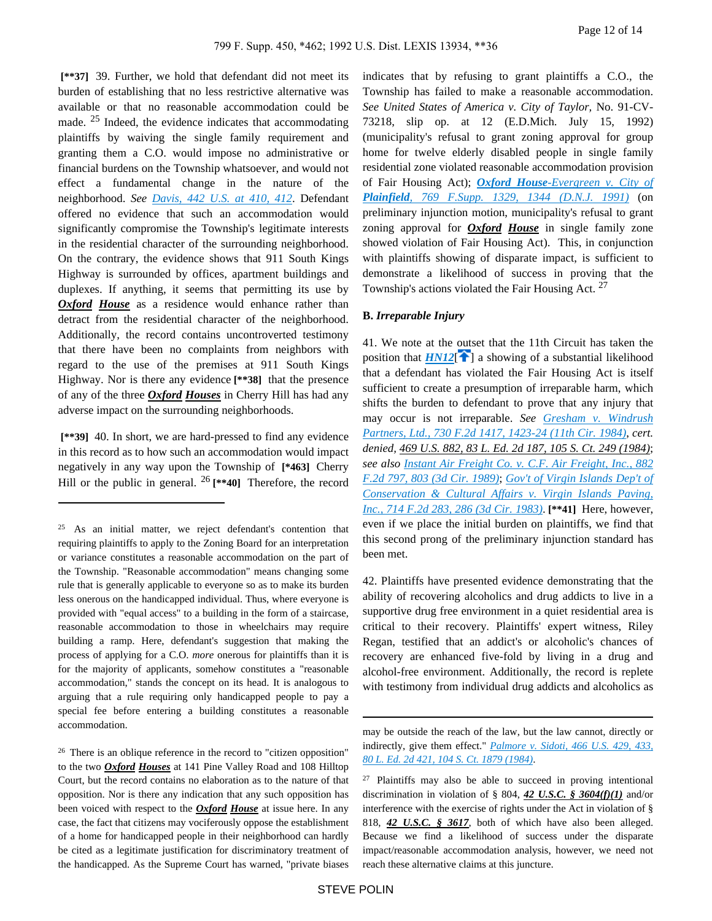**[\*\*37]** 39. Further, we hold that defendant did not meet its burden of establishing that no less restrictive alternative was available or that no reasonable accommodation could be made. 25 Indeed, the evidence indicates that accommodating plaintiffs by waiving the single family requirement and granting them a C.O. would impose no administrative or financial burdens on the Township whatsoever, and would not effect a fundamental change in the nature of the neighborhood. *See [Davis, 442 U.S. at 410, 412](https://advance.lexis.com/api/document?collection=cases&id=urn:contentItem:3S4X-83T0-003B-S188-00000-00&context=)*. Defendant offered no evidence that such an accommodation would significantly compromise the Township's legitimate interests in the residential character of the surrounding neighborhood. On the contrary, the evidence shows that 911 South Kings Highway is surrounded by offices, apartment buildings and duplexes. If anything, it seems that permitting its use by **Oxford** House as a residence would enhance rather than detract from the residential character of the neighborhood. Additionally, the record contains uncontroverted testimony that there have been no complaints from neighbors with regard to the use of the premises at 911 South Kings Highway. Nor is there any evidence **[\*\*38]** that the presence of any of the three *Oxford Houses* in Cherry Hill has had any adverse impact on the surrounding neighborhoods.

 **[\*\*39]** 40. In short, we are hard-pressed to find any evidence in this record as to how such an accommodation would impact negatively in any way upon the Township of **[\*463]** Cherry Hill or the public in general. 26 **[\*\*40]** Therefore, the record

<sup>26</sup> There is an oblique reference in the record to "citizen opposition" to the two *Oxford Houses* at 141 Pine Valley Road and 108 Hilltop Court, but the record contains no elaboration as to the nature of that opposition. Nor is there any indication that any such opposition has been voiced with respect to the *Oxford House* at issue here. In any case, the fact that citizens may vociferously oppose the establishment of a home for handicapped people in their neighborhood can hardly be cited as a legitimate justification for discriminatory treatment of the handicapped. As the Supreme Court has warned, "private biases

indicates that by refusing to grant plaintiffs a C.O., the Township has failed to make a reasonable accommodation. *See United States of America v. City of Taylor,* No. 91-CV-73218, slip op. at 12 (E.D.Mich. July 15, 1992) (municipality's refusal to grant zoning approval for group home for twelve elderly disabled people in single family residential zone violated reasonable accommodation provision of Fair Housing Act); *Oxford House[-Evergreen v. City of](https://advance.lexis.com/api/document?collection=cases&id=urn:contentItem:3S4N-BV70-001T-7071-00000-00&context=)  Plainfield[, 769 F.Supp. 1329, 1344 \(D.N.J. 1991\)](https://advance.lexis.com/api/document?collection=cases&id=urn:contentItem:3S4N-BV70-001T-7071-00000-00&context=)* (on preliminary injunction motion, municipality's refusal to grant zoning approval for *Oxford House* in single family zone showed violation of Fair Housing Act). This, in conjunction with plaintiffs showing of disparate impact, is sufficient to demonstrate a likelihood of success in proving that the Township's actions violated the Fair Housing Act.  $27$ 

### **B.** *Irreparable Injury*

<span id="page-11-0"></span>41. We note at the outset that the 11th Circuit has taken the position that  $HM12$ <sup>[ $\uparrow$ </sup>[\]](#page-2-2) a showing of a substantial likelihood that a defendant has violated the Fair Housing Act is itself sufficient to create a presumption of irreparable harm, which shifts the burden to defendant to prove that any injury that may occur is not irreparable. *See [Gresham v. Windrush](https://advance.lexis.com/api/document?collection=cases&id=urn:contentItem:3S4W-X5G0-003B-G0DD-00000-00&context=)  [Partners, Ltd., 730 F.2d 1417, 1423-24 \(11th Cir. 1984\)](https://advance.lexis.com/api/document?collection=cases&id=urn:contentItem:3S4W-X5G0-003B-G0DD-00000-00&context=)*, *cert. denied, 469 U.S. 882, 83 L. Ed. 2d 187, 105 S. Ct. 249 (1984)*; *see also [Instant Air Freight Co. v. C.F. Air Freight, Inc., 882](https://advance.lexis.com/api/document?collection=cases&id=urn:contentItem:3S4X-9RJ0-003B-52YP-00000-00&context=)  [F.2d 797, 803 \(3d Cir. 1989\)](https://advance.lexis.com/api/document?collection=cases&id=urn:contentItem:3S4X-9RJ0-003B-52YP-00000-00&context=)*; *[Gov't of Virgin Islands Dep't of](https://advance.lexis.com/api/document?collection=cases&id=urn:contentItem:3S4W-YTC0-003B-G17G-00000-00&context=)  [Conservation & Cultural Affairs v. Virgin Islands Paving,](https://advance.lexis.com/api/document?collection=cases&id=urn:contentItem:3S4W-YTC0-003B-G17G-00000-00&context=)  [Inc., 714 F.2d 283, 286 \(3d Cir. 1983\)](https://advance.lexis.com/api/document?collection=cases&id=urn:contentItem:3S4W-YTC0-003B-G17G-00000-00&context=)*. **[\*\*41]** Here, however, even if we place the initial burden on plaintiffs, we find that this second prong of the preliminary injunction standard has been met.

42. Plaintiffs have presented evidence demonstrating that the ability of recovering alcoholics and drug addicts to live in a supportive drug free environment in a quiet residential area is critical to their recovery. Plaintiffs' expert witness, Riley Regan, testified that an addict's or alcoholic's chances of recovery are enhanced five-fold by living in a drug and alcohol-free environment. Additionally, the record is replete with testimony from individual drug addicts and alcoholics as

<sup>25</sup>As an initial matter, we reject defendant's contention that requiring plaintiffs to apply to the Zoning Board for an interpretation or variance constitutes a reasonable accommodation on the part of the Township. "Reasonable accommodation" means changing some rule that is generally applicable to everyone so as to make its burden less onerous on the handicapped individual. Thus, where everyone is provided with "equal access" to a building in the form of a staircase, reasonable accommodation to those in wheelchairs may require building a ramp. Here, defendant's suggestion that making the process of applying for a C.O. *more* onerous for plaintiffs than it is for the majority of applicants, somehow constitutes a "reasonable accommodation," stands the concept on its head. It is analogous to arguing that a rule requiring only handicapped people to pay a special fee before entering a building constitutes a reasonable accommodation.

may be outside the reach of the law, but the law cannot, directly or indirectly, give them effect." *[Palmore v. Sidoti, 466 U.S. 429, 433,](https://advance.lexis.com/api/document?collection=cases&id=urn:contentItem:3S4X-3FX0-003B-S44J-00000-00&context=)  [80 L. Ed. 2d 421, 104 S. Ct. 1879 \(1984\)](https://advance.lexis.com/api/document?collection=cases&id=urn:contentItem:3S4X-3FX0-003B-S44J-00000-00&context=)*.

 $27$  Plaintiffs may also be able to succeed in proving intentional discrimination in violation of § 804, *42 U.S.C. § 3604(f)(1)* and/or interference with the exercise of rights under the Act in violation of § 818, *42 U.S.C. § 3617*, both of which have also been alleged. Because we find a likelihood of success under the disparate impact/reasonable accommodation analysis, however, we need not reach these alternative claims at this juncture.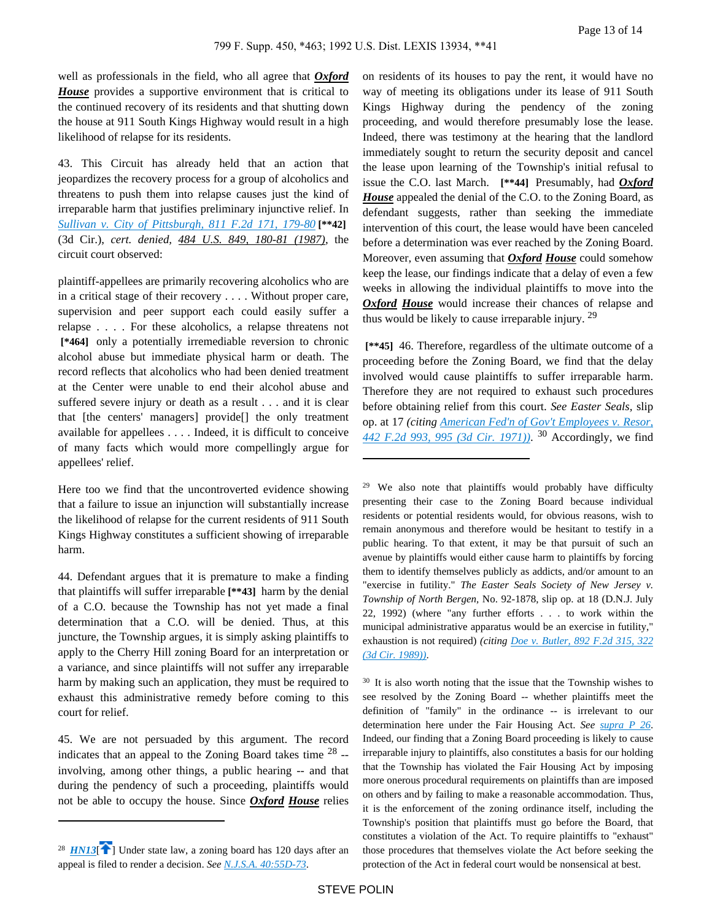well as professionals in the field, who all agree that *Oxford House* provides a supportive environment that is critical to the continued recovery of its residents and that shutting down the house at 911 South Kings Highway would result in a high likelihood of relapse for its residents.

43. This Circuit has already held that an action that jeopardizes the recovery process for a group of alcoholics and threatens to push them into relapse causes just the kind of irreparable harm that justifies preliminary injunctive relief. In *[Sullivan v. City of Pittsburgh, 811 F.2d 171, 179-80](https://advance.lexis.com/api/document?collection=cases&id=urn:contentItem:3S4X-CT90-001B-K20M-00000-00&context=)* **[\*\*42]**  (3d Cir.), *cert. denied, 484 U.S. 849, 180-81 (1987)*, the circuit court observed:

plaintiff-appellees are primarily recovering alcoholics who are in a critical stage of their recovery . . . . Without proper care, supervision and peer support each could easily suffer a relapse . . . . For these alcoholics, a relapse threatens not  **[\*464]** only a potentially irremediable reversion to chronic alcohol abuse but immediate physical harm or death. The record reflects that alcoholics who had been denied treatment at the Center were unable to end their alcohol abuse and suffered severe injury or death as a result . . . and it is clear that [the centers' managers] provide[] the only treatment available for appellees . . . . Indeed, it is difficult to conceive of many facts which would more compellingly argue for appellees' relief.

Here too we find that the uncontroverted evidence showing that a failure to issue an injunction will substantially increase the likelihood of relapse for the current residents of 911 South Kings Highway constitutes a sufficient showing of irreparable harm.

44. Defendant argues that it is premature to make a finding that plaintiffs will suffer irreparable **[\*\*43]** harm by the denial of a C.O. because the Township has not yet made a final determination that a C.O. will be denied. Thus, at this juncture, the Township argues, it is simply asking plaintiffs to apply to the Cherry Hill zoning Board for an interpretation or a variance, and since plaintiffs will not suffer any irreparable harm by making such an application, they must be required to exhaust this administrative remedy before coming to this court for relief.

45. We are not persuaded by this argument. The record indicates that an appeal to the Zoning Board takes time  $28$  -involving, among other things, a public hearing -- and that during the pendency of such a proceeding, plaintiffs would not be able to occupy the house. Since *Oxford House* relies

on residents of its houses to pay the rent, it would have no way of meeting its obligations under its lease of 911 South Kings Highway during the pendency of the zoning proceeding, and would therefore presumably lose the lease. Indeed, there was testimony at the hearing that the landlord immediately sought to return the security deposit and cancel the lease upon learning of the Township's initial refusal to issue the C.O. last March. **[\*\*44]** Presumably, had *Oxford House* appealed the denial of the C.O. to the Zoning Board, as defendant suggests, rather than seeking the immediate intervention of this court, the lease would have been canceled before a determination was ever reached by the Zoning Board. Moreover, even assuming that *Oxford House* could somehow keep the lease, our findings indicate that a delay of even a few weeks in allowing the individual plaintiffs to move into the *Oxford House* would increase their chances of relapse and thus would be likely to cause irreparable injury. <sup>29</sup>

 **[\*\*45]** 46. Therefore, regardless of the ultimate outcome of a proceeding before the Zoning Board, we find that the delay involved would cause plaintiffs to suffer irreparable harm. Therefore they are not required to exhaust such procedures before obtaining relief from this court. *See Easter Seals,* slip op. at 17 *(citing [American Fed'n of Gov't Employees v. Resor,](https://advance.lexis.com/api/document?collection=cases&id=urn:contentItem:3S4X-C860-0039-X1DR-00000-00&context=)  [442 F.2d 993, 995 \(3d Cir. 1971\)\)](https://advance.lexis.com/api/document?collection=cases&id=urn:contentItem:3S4X-C860-0039-X1DR-00000-00&context=)*. <sup>30</sup> Accordingly, we find

<sup>29</sup> We also note that plaintiffs would probably have difficulty presenting their case to the Zoning Board because individual residents or potential residents would, for obvious reasons, wish to remain anonymous and therefore would be hesitant to testify in a public hearing. To that extent, it may be that pursuit of such an avenue by plaintiffs would either cause harm to plaintiffs by forcing them to identify themselves publicly as addicts, and/or amount to an "exercise in futility." *The Easter Seals Society of New Jersey v. Township of North Bergen,* No. 92-1878, slip op. at 18 (D.N.J. July 22, 1992) (where "any further efforts . . . to work within the municipal administrative apparatus would be an exercise in futility," exhaustion is not required) *(citing [Doe v. Butler, 892 F.2d 315, 322](https://advance.lexis.com/api/document?collection=cases&id=urn:contentItem:3S4X-7MD0-003B-54JG-00000-00&context=)  [\(3d Cir. 1989\)\)](https://advance.lexis.com/api/document?collection=cases&id=urn:contentItem:3S4X-7MD0-003B-54JG-00000-00&context=)*.

<sup>30</sup> It is also worth noting that the issue that the Township wishes to see resolved by the Zoning Board -- whether plaintiffs meet the definition of "family" in the ordinance -- is irrelevant to our determination here under the Fair Housing Act. *See [supra P 26](https://advance.lexis.com/api/document?collection=cases&id=urn:contentItem:3S4X-CWK0-003B-40M9-00000-00&context=)*. Indeed, our finding that a Zoning Board proceeding is likely to cause irreparable injury to plaintiffs, also constitutes a basis for our holding that the Township has violated the Fair Housing Act by imposing more onerous procedural requirements on plaintiffs than are imposed on others and by failing to make a reasonable accommodation. Thus, it is the enforcement of the zoning ordinance itself, including the Township's position that plaintiffs must go before the Board, that constitutes a violation of the Act. To require plaintiffs to "exhaust" those procedures that themselves violate the Act before seeking the protection of the Act in federal court would be nonsensical at best.

<span id="page-12-0"></span><sup>&</sup>lt;sup>28</sup>  $HNI3$ <sup>[2]</sup> Under state law, a zoning board has 120 days after an appeal is filed to render a decision. *See [N.J.S.A. 40:55D-73](https://advance.lexis.com/api/document?collection=statutes-legislation&id=urn:contentItem:5F0Y-C771-6F13-044J-00000-00&context=)*.